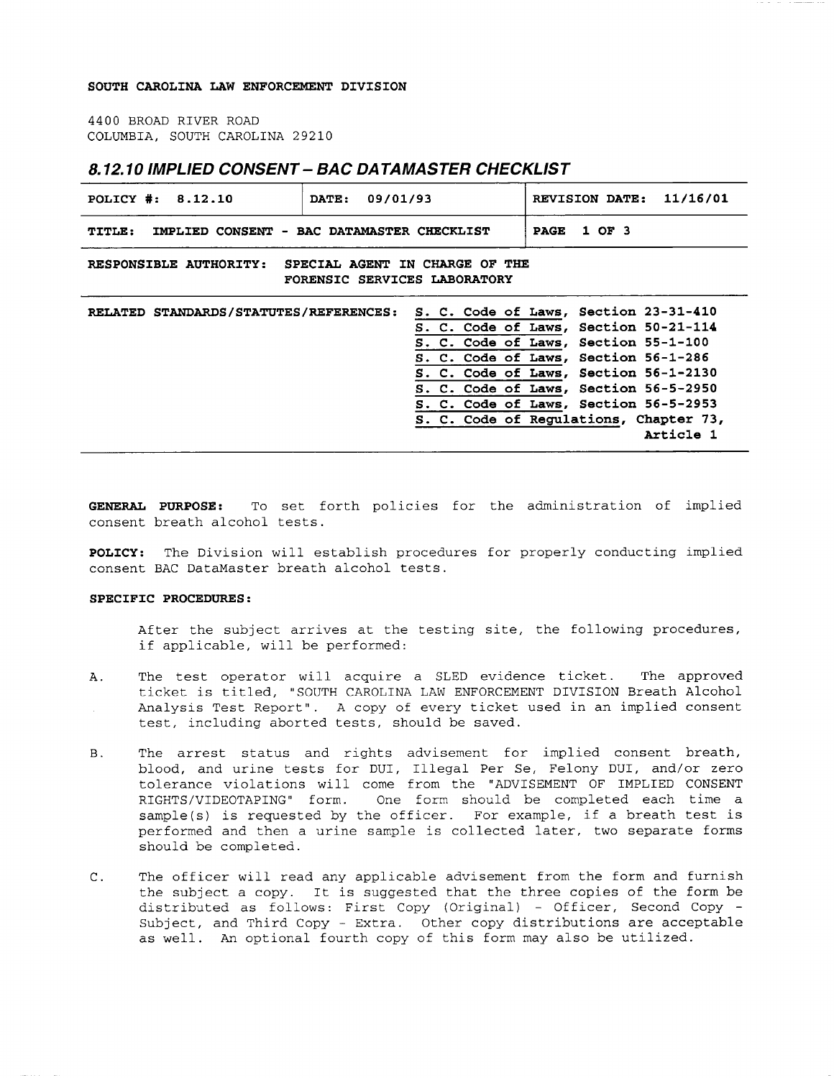## **SOUTH CAROLINA LAW ENFORCEMENT DIVISION**

4400 BROAD RIVER ROAD COLUMBIA, SOUTH CAROLINA 29210

## **8.12.10 IMPLIED CONSENT- BAC DATAMASTER CHECKLIST**

| POLICY #: 8.12.10<br>DATE:                                                               | 09/01/93 | REVISION DATE: 11/16/01                                                                                                                                                                                                                                                                                                                          |
|------------------------------------------------------------------------------------------|----------|--------------------------------------------------------------------------------------------------------------------------------------------------------------------------------------------------------------------------------------------------------------------------------------------------------------------------------------------------|
| <b>TITLE:</b><br>IMPLIED CONSENT - BAC DATAMASTER CHECKLIST                              |          | 1 OF 3<br><b>PAGE</b>                                                                                                                                                                                                                                                                                                                            |
| SPECIAL AGENT IN CHARGE OF THE<br>RESPONSIBLE AUTHORITY:<br>FORENSIC SERVICES LABORATORY |          |                                                                                                                                                                                                                                                                                                                                                  |
| RELATED STANDARDS/STATUTES/REFERENCES:                                                   |          | S. C. Code of Laws, Section 23-31-410<br>S. C. Code of Laws, Section 50-21-114<br>S. C. Code of Laws, Section 55-1-100<br>S. C. Code of Laws, Section 56-1-286<br>S. C. Code of Laws, Section 56-1-2130<br>S. C. Code of Laws, Section 56-5-2950<br>S. C. Code of Laws, Section 56-5-2953<br>S. C. Code of Regulations, Chapter 73,<br>Article 1 |

**GENERAL PURPOSE:** To set forth policies for the administration of implied consent breath alcohol tests.

**POLICY:** The Division will establish procedures for properly conducting implied consent BAC DataMaster breath alcohol tests.

## **SPECIFIC PROCEDURES:**

After the subject arrives at the testing site, the following procedures, if applicable, will be performed:

- A. The test operator will acquire a SLED evidence ticket. The approved ticket is titled, "SOUTH CAROLINA LAW ENFORCEMENT DIVISION Breath Alcohol Analysis Test Report". A copy of every ticket used in an implied consent test, including aborted tests, should be saved.
- B. The arrest status and rights advisement for implied consent breath, blood, and urine tests for DUI, Illegal Per Se, Felony DUI, and/or zero tolerance violations will come from the "ADVISEMENT OF IMPLIED CONSENT<br>RIGHTS/VIDEOTAPING" form. One form should be completed each time a One form should be completed each time a sample(s) is requested by the officer. For example, if a breath test is performed and then a urine sample is collected later, two separate forms should be completed.
- C. The officer will read any applicable advisement from the form and furnish the subject a copy. It is suggested that the three copies of the form be distributed as follows: First Copy (Original) - Officer, Second Copy - Subject, and Third Copy - Extra. Other copy distributions are acceptable as well. An optional fourth copy of this form may also be utilized.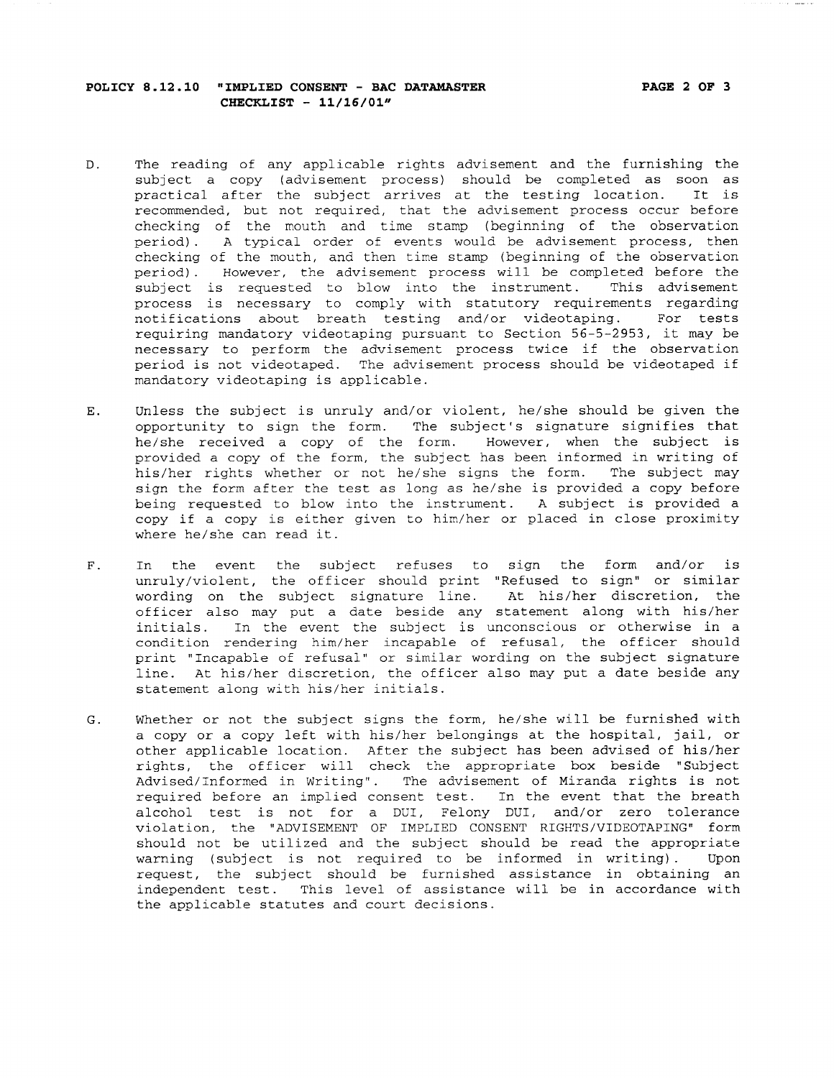- D. The reading of any applicable rights advisement and the furnishing the subject a copy (advisement process) should be completed as soon as practical after the subject arrives at the testing location. It is recommended, but not required, that the advisement process occur before checking of the mouth and time stamp (beginning of the observation period) . A typical order of events would be advisement process, then checking of the mouth, and then time stamp (beginning of the observation period) . However, the advisement process will be completed before the subject is requested to blow into the instrument. This advisement process is necessary to comply with statutory requirements regarding notifications about breath testing and/or videotaping. For tests requiring mandatory videotaping pursuant to Section 56-5-2953, it may be necessary to perform the advisement process twice if the observation period is not videotaped. The advisement process should be videotaped if mandatory videotaping is applicable.
- E. Unless the subject is unruly and/or violent, he/she should be given the opportunity to sign the form. The subject's signature signifies that he/she received a copy of the form. However, when the subject is provided a copy of the form, the subject has been informed in writing of his/her rights whether or not he/she signs the form. The subject may sign the form after the test as long as he/she is provided a copy before being requested to blow into the instrument. A subject is provided a copy if a copy is either given to him/her or placed in close proximity where he/she can read it.
- F. In the event the subject refuses to sign the form and/or is unruly/violent, the officer should print "Refused to sign" or similar wording on the subject signature line. At his/her discretion, the officer also may put a date beside any statement along with his/her initials. In the event the subject is unconscious or otherwise in a condition rendering him/her incapable of refusal, the officer should print "Incapable of refusal" or similar wording on the subject signature line. At his/her discretion, the officer also may put a date beside any statement along with his/her initials.
- G. Whether or not the subject signs the form, he/she will be furnished with a copy or a copy left with his/her belongings at the hospital, jail, or other applicable location. After the subject has been advised of his/her rights, the officer will check the appropriate box beside "Subject Advised/Informed in Writing". The advisement of Miranda rights is not required before an implied consent test. In the event that the breath alcohol test is not for a DUI, Felony DUI, and/or zero tolerance violation, the "ADVISEMENT OF IMPLIED CONSENT RIGHTS/VIDEOTAPING" form should not be utilized and the subject should be read the appropriate warning (subject is not required to be informed in writing). Upon request, the subject should be furnished assistance in obtaining an independent test. This level of assistance will be in accordance with the applicable statutes and court decisions.